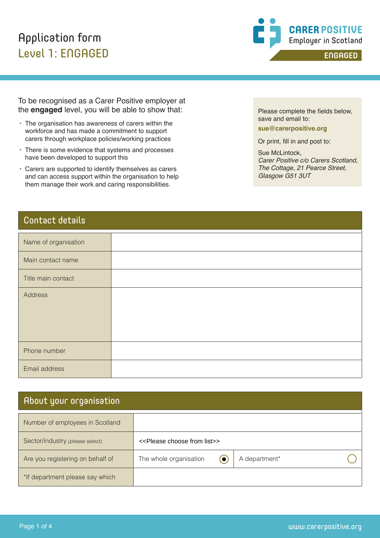### Application form Level 1: ENGAGED



To be recognised as a Carer Positive employer at the **engaged** level, you will be able to show that:

- The organisation has awareness of carers within the workforce and has made a commitment to support carers through workplace policies/working practices
- There is some evidence that systems and processes have been developed to support this
- Carers are supported to identify themselves as carers and can access support within the organisation to help them manage their work and caring responsibilities.

Contact details

| Name of organisation |  |
|----------------------|--|
| Main contact name    |  |
| Title main contact   |  |
| Address              |  |
| Phone number         |  |
| Email address        |  |

#### About your organisation

| Number of employees in Scotland  |                                                    |               |                       |
|----------------------------------|----------------------------------------------------|---------------|-----------------------|
| Sector/industry (please select)  | < <please choose="" from="" list="">&gt;</please>  |               |                       |
| Are you registering on behalf of | The whole organisation<br>$\left( \bullet \right)$ | A department* |                       |
| *If department please say which  |                                                    |               |                       |
|                                  |                                                    |               |                       |
|                                  |                                                    |               |                       |
| Page 1 of 4                      |                                                    |               | www.carerpositive.org |

Please complete the fields below, save and email to:

**sue@carerpositive.org**

Or print, fill in and post to:

Sue McLintock, *Carer Positive c/o Carers Scotland, The Cottage, 21 Pearce Street, Glasgow G51 3UT*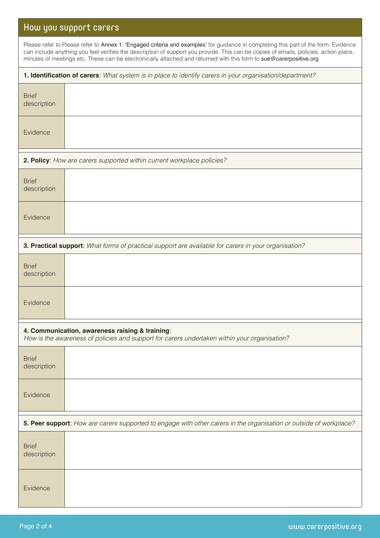### How you support carers

| Please refer to Please refer to Annex 1: 'Engaged criteria and examples' for guidance in completing this part of the form. Evidence<br>can include anything you feel verifies the description of support you provide. This can be copies of emails, policies, action plans,<br>minutes of meetings etc. These can be electronically attached and returned with this form to sue@carerpositive.org |                                                                        |  |  |  |
|---------------------------------------------------------------------------------------------------------------------------------------------------------------------------------------------------------------------------------------------------------------------------------------------------------------------------------------------------------------------------------------------------|------------------------------------------------------------------------|--|--|--|
| 1. Identification of carers: What system is in place to identify carers in your organisation/department?                                                                                                                                                                                                                                                                                          |                                                                        |  |  |  |
| <b>Brief</b><br>description                                                                                                                                                                                                                                                                                                                                                                       |                                                                        |  |  |  |
| Evidence                                                                                                                                                                                                                                                                                                                                                                                          |                                                                        |  |  |  |
|                                                                                                                                                                                                                                                                                                                                                                                                   | 2. Policy: How are carers supported within current workplace policies? |  |  |  |
| <b>Brief</b><br>description                                                                                                                                                                                                                                                                                                                                                                       |                                                                        |  |  |  |
| Evidence                                                                                                                                                                                                                                                                                                                                                                                          |                                                                        |  |  |  |
| 3. Practical support: What forms of practical support are available for carers in your organisation?                                                                                                                                                                                                                                                                                              |                                                                        |  |  |  |
| <b>Brief</b><br>description                                                                                                                                                                                                                                                                                                                                                                       |                                                                        |  |  |  |
| Evidence                                                                                                                                                                                                                                                                                                                                                                                          |                                                                        |  |  |  |
| 4. Communication, awareness raising & training:<br>How is the awareness of policies and support for carers undertaken within your organisation?                                                                                                                                                                                                                                                   |                                                                        |  |  |  |
| <b>Brief</b><br>description                                                                                                                                                                                                                                                                                                                                                                       |                                                                        |  |  |  |
| Evidence                                                                                                                                                                                                                                                                                                                                                                                          |                                                                        |  |  |  |
| 5. Peer support: How are carers supported to engage with other carers in the organisation or outside of workplace?                                                                                                                                                                                                                                                                                |                                                                        |  |  |  |
| <b>Brief</b><br>description                                                                                                                                                                                                                                                                                                                                                                       |                                                                        |  |  |  |
| Evidence                                                                                                                                                                                                                                                                                                                                                                                          |                                                                        |  |  |  |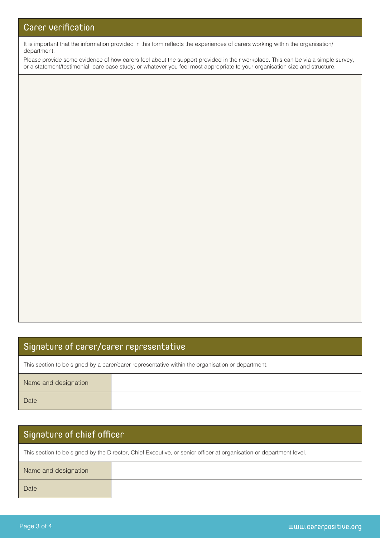It is important that the information provided in this form reflects the experiences of carers working within the organisation/ department.

Please provide some evidence of how carers feel about the support provided in their workplace. This can be via a simple survey, or a statement/testimonial, care case study, or whatever you feel most appropriate to your organisation size and structure.

#### Signature of carer/carer representative

This section to be signed by a carer/carer representative within the organisation or department.

| Name and designation |  |
|----------------------|--|
| Date                 |  |

# Signature of chief officer This section to be signed by the Director, Chief Executive, or senior officer at organisation or department level. Name and designation Date